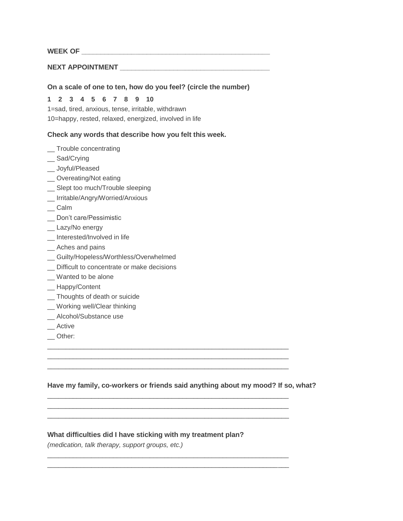# WEEK OF **WEEK OF**

# NEXT APPOINTMENT

## **On a scale of one to ten, how do you feel? (circle the number)**

#### **1 2 3 4 5 6 7 8 9 10**

1=sad, tired, anxious, tense, irritable, withdrawn 10=happy, rested, relaxed, energized, involved in life

## **Check any words that describe how you felt this week.**

- \_\_ Trouble concentrating
- \_\_ Sad/Crying
- \_\_ Joyful/Pleased
- \_\_ Overeating/Not eating
- \_\_ Slept too much/Trouble sleeping
- \_\_ Irritable/Angry/Worried/Anxious
- \_\_ Calm
- \_ Don't care/Pessimistic
- \_\_ Lazy/No energy
- \_\_ Interested/Involved in life
- \_\_ Aches and pains
- \_\_ Guilty/Hopeless/Worthless/Overwhelmed
- \_\_ Difficult to concentrate or make decisions
- \_\_ Wanted to be alone
- \_\_ Happy/Content
- \_\_ Thoughts of death or suicide
- \_\_ Working well/Clear thinking
- \_\_ Alcohol/Substance use
- \_\_ Active
- \_\_ Other:

## **Have my family, co-workers or friends said anything about my mood? If so, what?**

 $\overline{\phantom{a}}$  , and the set of the set of the set of the set of the set of the set of the set of the set of the set of the set of the set of the set of the set of the set of the set of the set of the set of the set of the s  $\overline{\phantom{a}}$  , and the set of the set of the set of the set of the set of the set of the set of the set of the set of the set of the set of the set of the set of the set of the set of the set of the set of the set of the s  $\overline{\phantom{a}}$  , and the set of the set of the set of the set of the set of the set of the set of the set of the set of the set of the set of the set of the set of the set of the set of the set of the set of the set of the s

 $\overline{\phantom{a}}$  , and the contribution of the contribution of the contribution of the contribution of the contribution of the contribution of the contribution of the contribution of the contribution of the contribution of the  $\overline{\phantom{a}}$  , and the contribution of the contribution of the contribution of the contribution of the contribution of the contribution of the contribution of the contribution of the contribution of the contribution of the  $\overline{\phantom{a}}$  , and the set of the set of the set of the set of the set of the set of the set of the set of the set of the set of the set of the set of the set of the set of the set of the set of the set of the set of the s

 $\overline{\phantom{a}}$  , and the contribution of the contribution of the contribution of the contribution of the contribution of the contribution of the contribution of the contribution of the contribution of the contribution of the  $\overline{\phantom{a}}$  , and the contribution of the contribution of the contribution of the contribution of the contribution of the contribution of the contribution of the contribution of the contribution of the contribution of the

## **What difficulties did I have sticking with my treatment plan?**

*(medication, talk therapy, support groups, etc.)*